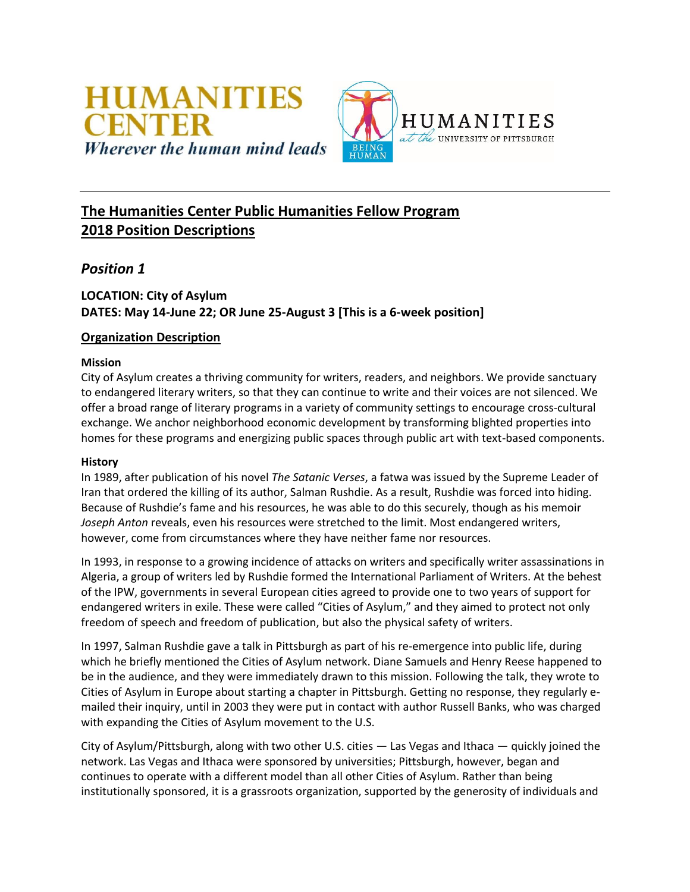

# **The Humanities Center Public Humanities Fellow Program 2018 Position Descriptions**

# *Position 1*

# **LOCATION: City of Asylum DATES: May 14-June 22; OR June 25-August 3 [This is a 6-week position]**

### **Organization Description**

### **Mission**

City of Asylum creates a thriving community for writers, readers, and neighbors. We provide sanctuary to endangered literary writers, so that they can continue to write and their voices are not silenced. We offer a broad range of literary programs in a variety of community settings to encourage cross-cultural exchange. We anchor neighborhood economic development by transforming blighted properties into homes for these programs and energizing public spaces through public art with text-based components.

#### **History**

In 1989, after publication of his novel *The Satanic Verses*, a fatwa was issued by the Supreme Leader of Iran that ordered the killing of its author, Salman Rushdie. As a result, Rushdie was forced into hiding. Because of Rushdie's fame and his resources, he was able to do this securely, though as his memoir *Joseph Anton* reveals, even his resources were stretched to the limit. Most endangered writers, however, come from circumstances where they have neither fame nor resources.

In 1993, in response to a growing incidence of attacks on writers and specifically writer assassinations in Algeria, a group of writers led by Rushdie formed the International Parliament of Writers. At the behest of the IPW, governments in several European cities agreed to provide one to two years of support for endangered writers in exile. These were called "Cities of Asylum," and they aimed to protect not only freedom of speech and freedom of publication, but also the physical safety of writers.

In 1997, Salman Rushdie gave a talk in Pittsburgh as part of his re-emergence into public life, during which he briefly mentioned the Cities of Asylum network. Diane Samuels and Henry Reese happened to be in the audience, and they were immediately drawn to this mission. Following the talk, they wrote to Cities of Asylum in Europe about starting a chapter in Pittsburgh. Getting no response, they regularly emailed their inquiry, until in 2003 they were put in contact with author Russell Banks, who was charged with expanding the Cities of Asylum movement to the U.S.

City of Asylum/Pittsburgh, along with two other U.S. cities — Las Vegas and Ithaca — quickly joined the network. Las Vegas and Ithaca were sponsored by universities; Pittsburgh, however, began and continues to operate with a different model than all other Cities of Asylum. Rather than being institutionally sponsored, it is a grassroots organization, supported by the generosity of individuals and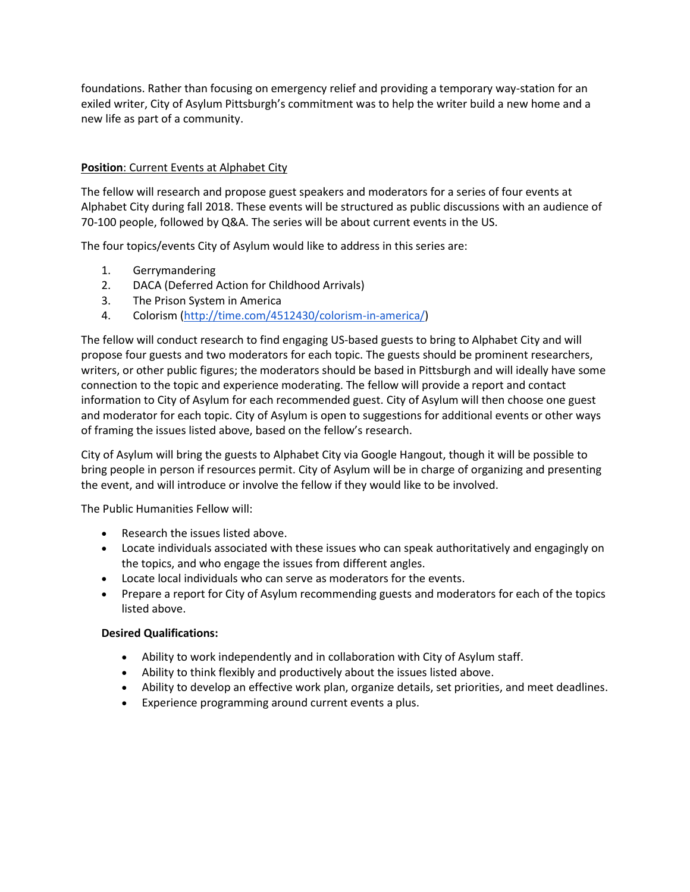foundations. Rather than focusing on emergency relief and providing a temporary way-station for an exiled writer, City of Asylum Pittsburgh's commitment was to help the writer build a new home and a new life as part of a community.

### **Position**: Current Events at Alphabet City

The fellow will research and propose guest speakers and moderators for a series of four events at Alphabet City during fall 2018. These events will be structured as public discussions with an audience of 70-100 people, followed by Q&A. The series will be about current events in the US.

The four topics/events City of Asylum would like to address in this series are:

- 1. Gerrymandering
- 2. DACA (Deferred Action for Childhood Arrivals)
- 3. The Prison System in America
- 4. Colorism [\(http://time.com/4512430/colorism-in-america/\)](http://time.com/4512430/colorism-in-america/)

The fellow will conduct research to find engaging US-based guests to bring to Alphabet City and will propose four guests and two moderators for each topic. The guests should be prominent researchers, writers, or other public figures; the moderators should be based in Pittsburgh and will ideally have some connection to the topic and experience moderating. The fellow will provide a report and contact information to City of Asylum for each recommended guest. City of Asylum will then choose one guest and moderator for each topic. City of Asylum is open to suggestions for additional events or other ways of framing the issues listed above, based on the fellow's research.

City of Asylum will bring the guests to Alphabet City via Google Hangout, though it will be possible to bring people in person if resources permit. City of Asylum will be in charge of organizing and presenting the event, and will introduce or involve the fellow if they would like to be involved.

The Public Humanities Fellow will:

- Research the issues listed above.
- Locate individuals associated with these issues who can speak authoritatively and engagingly on the topics, and who engage the issues from different angles.
- Locate local individuals who can serve as moderators for the events.
- Prepare a report for City of Asylum recommending guests and moderators for each of the topics listed above.

- Ability to work independently and in collaboration with City of Asylum staff.
- Ability to think flexibly and productively about the issues listed above.
- Ability to develop an effective work plan, organize details, set priorities, and meet deadlines.
- Experience programming around current events a plus.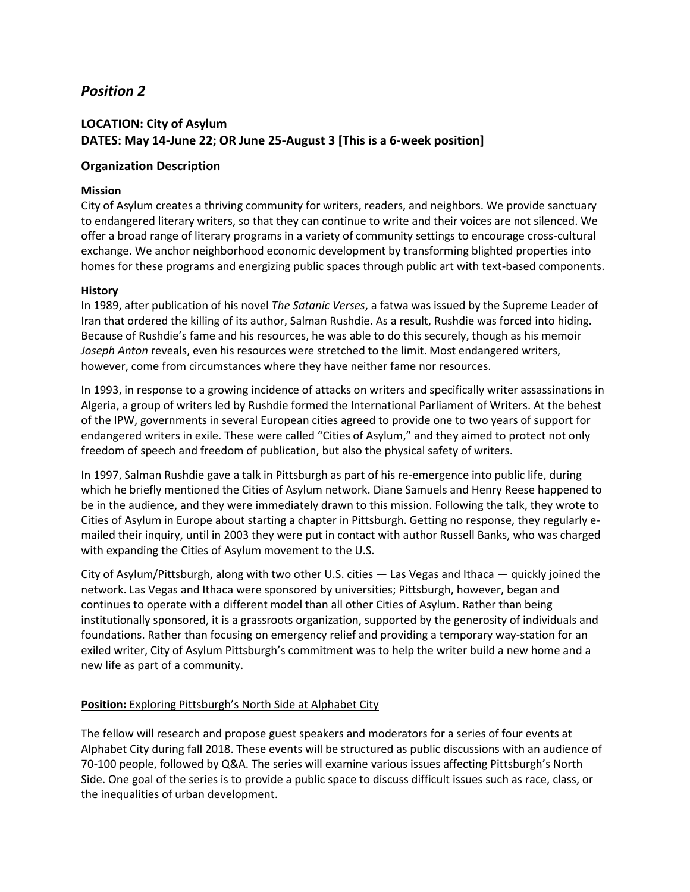### **LOCATION: City of Asylum DATES: May 14-June 22; OR June 25-August 3 [This is a 6-week position]**

#### **Organization Description**

#### **Mission**

City of Asylum creates a thriving community for writers, readers, and neighbors. We provide sanctuary to endangered literary writers, so that they can continue to write and their voices are not silenced. We offer a broad range of literary programs in a variety of community settings to encourage cross-cultural exchange. We anchor neighborhood economic development by transforming blighted properties into homes for these programs and energizing public spaces through public art with text-based components.

#### **History**

In 1989, after publication of his novel *The Satanic Verses*, a fatwa was issued by the Supreme Leader of Iran that ordered the killing of its author, Salman Rushdie. As a result, Rushdie was forced into hiding. Because of Rushdie's fame and his resources, he was able to do this securely, though as his memoir *Joseph Anton* reveals, even his resources were stretched to the limit. Most endangered writers, however, come from circumstances where they have neither fame nor resources.

In 1993, in response to a growing incidence of attacks on writers and specifically writer assassinations in Algeria, a group of writers led by Rushdie formed the International Parliament of Writers. At the behest of the IPW, governments in several European cities agreed to provide one to two years of support for endangered writers in exile. These were called "Cities of Asylum," and they aimed to protect not only freedom of speech and freedom of publication, but also the physical safety of writers.

In 1997, Salman Rushdie gave a talk in Pittsburgh as part of his re-emergence into public life, during which he briefly mentioned the Cities of Asylum network. Diane Samuels and Henry Reese happened to be in the audience, and they were immediately drawn to this mission. Following the talk, they wrote to Cities of Asylum in Europe about starting a chapter in Pittsburgh. Getting no response, they regularly emailed their inquiry, until in 2003 they were put in contact with author Russell Banks, who was charged with expanding the Cities of Asylum movement to the U.S.

City of Asylum/Pittsburgh, along with two other U.S. cities — Las Vegas and Ithaca — quickly joined the network. Las Vegas and Ithaca were sponsored by universities; Pittsburgh, however, began and continues to operate with a different model than all other Cities of Asylum. Rather than being institutionally sponsored, it is a grassroots organization, supported by the generosity of individuals and foundations. Rather than focusing on emergency relief and providing a temporary way-station for an exiled writer, City of Asylum Pittsburgh's commitment was to help the writer build a new home and a new life as part of a community.

#### **Position:** Exploring Pittsburgh's North Side at Alphabet City

The fellow will research and propose guest speakers and moderators for a series of four events at Alphabet City during fall 2018. These events will be structured as public discussions with an audience of 70-100 people, followed by Q&A. The series will examine various issues affecting Pittsburgh's North Side. One goal of the series is to provide a public space to discuss difficult issues such as race, class, or the inequalities of urban development.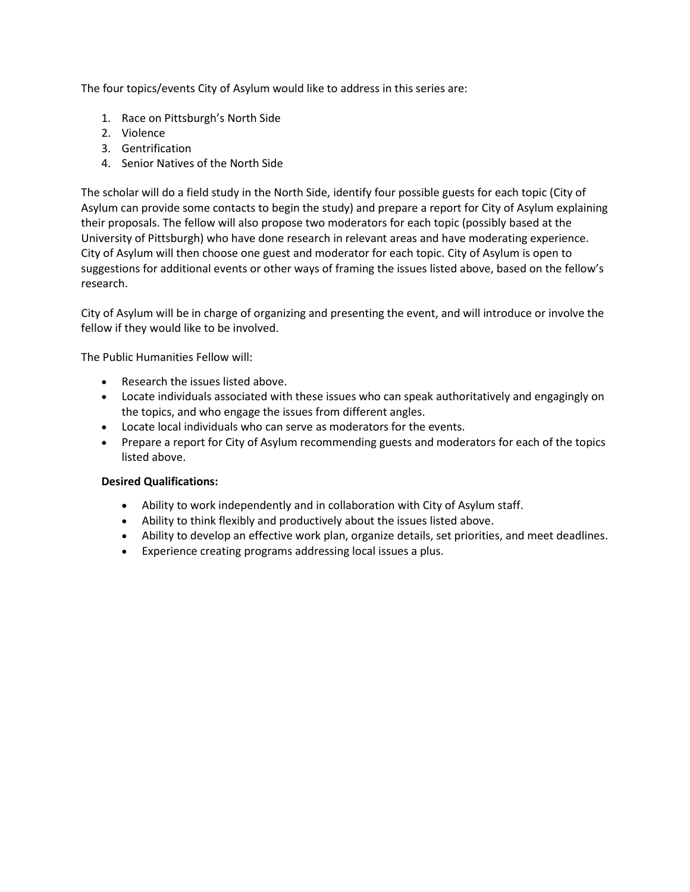The four topics/events City of Asylum would like to address in this series are:

- 1. Race on Pittsburgh's North Side
- 2. Violence
- 3. Gentrification
- 4. Senior Natives of the North Side

The scholar will do a field study in the North Side, identify four possible guests for each topic (City of Asylum can provide some contacts to begin the study) and prepare a report for City of Asylum explaining their proposals. The fellow will also propose two moderators for each topic (possibly based at the University of Pittsburgh) who have done research in relevant areas and have moderating experience. City of Asylum will then choose one guest and moderator for each topic. City of Asylum is open to suggestions for additional events or other ways of framing the issues listed above, based on the fellow's research.

City of Asylum will be in charge of organizing and presenting the event, and will introduce or involve the fellow if they would like to be involved.

The Public Humanities Fellow will:

- Research the issues listed above.
- Locate individuals associated with these issues who can speak authoritatively and engagingly on the topics, and who engage the issues from different angles.
- Locate local individuals who can serve as moderators for the events.
- Prepare a report for City of Asylum recommending guests and moderators for each of the topics listed above.

- Ability to work independently and in collaboration with City of Asylum staff.
- Ability to think flexibly and productively about the issues listed above.
- Ability to develop an effective work plan, organize details, set priorities, and meet deadlines.
- Experience creating programs addressing local issues a plus.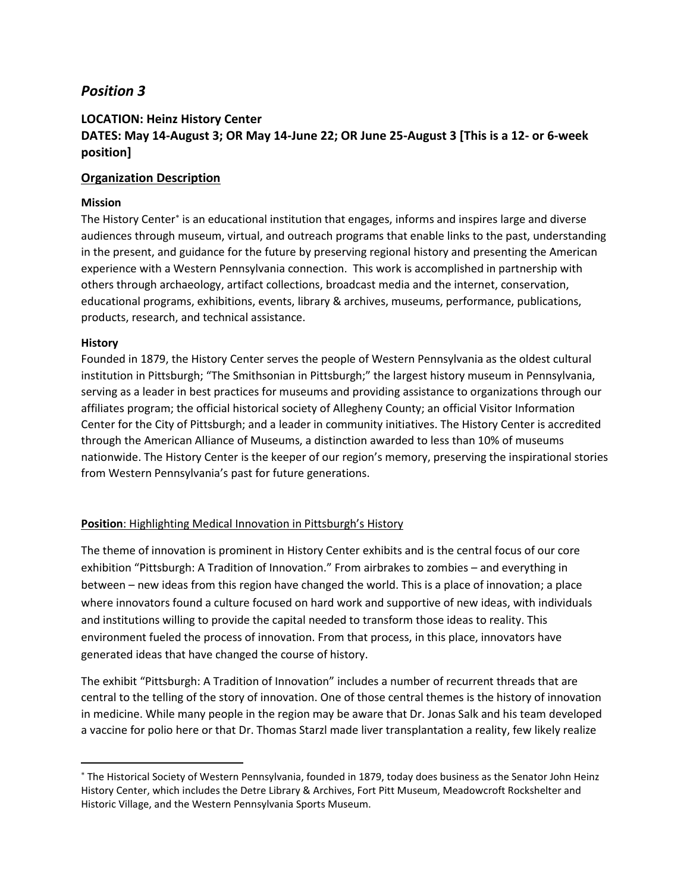### **LOCATION: Heinz History Center DATES: May 14-August 3; OR May 14-June 22; OR June 25-August 3 [This is a 12- or 6-week position]**

### **Organization Description**

### **Mission**

The History Center<sup>\*</sup> is an educational institution that engages, informs and inspires large and diverse audiences through museum, virtual, and outreach programs that enable links to the past, understanding in the present, and guidance for the future by preserving regional history and presenting the American experience with a Western Pennsylvania connection. This work is accomplished in partnership with others through archaeology, artifact collections, broadcast media and the internet, conservation, educational programs, exhibitions, events, library & archives, museums, performance, publications, products, research, and technical assistance.

#### **History**

 $\overline{a}$ 

Founded in 1879, the History Center serves the people of Western Pennsylvania as the oldest cultural institution in Pittsburgh; "The Smithsonian in Pittsburgh;" the largest history museum in Pennsylvania, serving as a leader in best practices for museums and providing assistance to organizations through our affiliates program; the official historical society of Allegheny County; an official Visitor Information Center for the City of Pittsburgh; and a leader in community initiatives. The History Center is accredited through the American Alliance of Museums, a distinction awarded to less than 10% of museums nationwide. The History Center is the keeper of our region's memory, preserving the inspirational stories from Western Pennsylvania's past for future generations.

### **Position**: Highlighting Medical Innovation in Pittsburgh's History

The theme of innovation is prominent in History Center exhibits and is the central focus of our core exhibition "Pittsburgh: A Tradition of Innovation." From airbrakes to zombies – and everything in between – new ideas from this region have changed the world. This is a place of innovation; a place where innovators found a culture focused on hard work and supportive of new ideas, with individuals and institutions willing to provide the capital needed to transform those ideas to reality. This environment fueled the process of innovation. From that process, in this place, innovators have generated ideas that have changed the course of history.

The exhibit "Pittsburgh: A Tradition of Innovation" includes a number of recurrent threads that are central to the telling of the story of innovation. One of those central themes is the history of innovation in medicine. While many people in the region may be aware that Dr. Jonas Salk and his team developed a vaccine for polio here or that Dr. Thomas Starzl made liver transplantation a reality, few likely realize

<sup>\*</sup> The Historical Society of Western Pennsylvania, founded in 1879, today does business as the Senator John Heinz History Center, which includes the Detre Library & Archives, Fort Pitt Museum, Meadowcroft Rockshelter and Historic Village, and the Western Pennsylvania Sports Museum.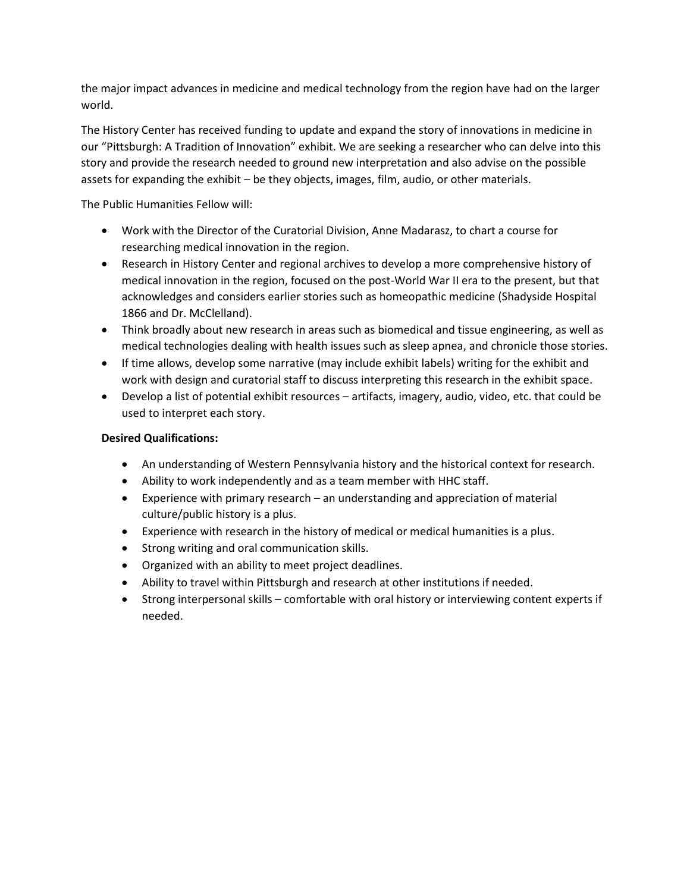the major impact advances in medicine and medical technology from the region have had on the larger world.

The History Center has received funding to update and expand the story of innovations in medicine in our "Pittsburgh: A Tradition of Innovation" exhibit. We are seeking a researcher who can delve into this story and provide the research needed to ground new interpretation and also advise on the possible assets for expanding the exhibit – be they objects, images, film, audio, or other materials.

The Public Humanities Fellow will:

- Work with the Director of the Curatorial Division, Anne Madarasz, to chart a course for researching medical innovation in the region.
- Research in History Center and regional archives to develop a more comprehensive history of medical innovation in the region, focused on the post-World War II era to the present, but that acknowledges and considers earlier stories such as homeopathic medicine (Shadyside Hospital 1866 and Dr. McClelland).
- Think broadly about new research in areas such as biomedical and tissue engineering, as well as medical technologies dealing with health issues such as sleep apnea, and chronicle those stories.
- If time allows, develop some narrative (may include exhibit labels) writing for the exhibit and work with design and curatorial staff to discuss interpreting this research in the exhibit space.
- Develop a list of potential exhibit resources artifacts, imagery, audio, video, etc. that could be used to interpret each story.

- An understanding of Western Pennsylvania history and the historical context for research.
- Ability to work independently and as a team member with HHC staff.
- Experience with primary research an understanding and appreciation of material culture/public history is a plus.
- Experience with research in the history of medical or medical humanities is a plus.
- Strong writing and oral communication skills.
- Organized with an ability to meet project deadlines.
- Ability to travel within Pittsburgh and research at other institutions if needed.
- Strong interpersonal skills comfortable with oral history or interviewing content experts if needed.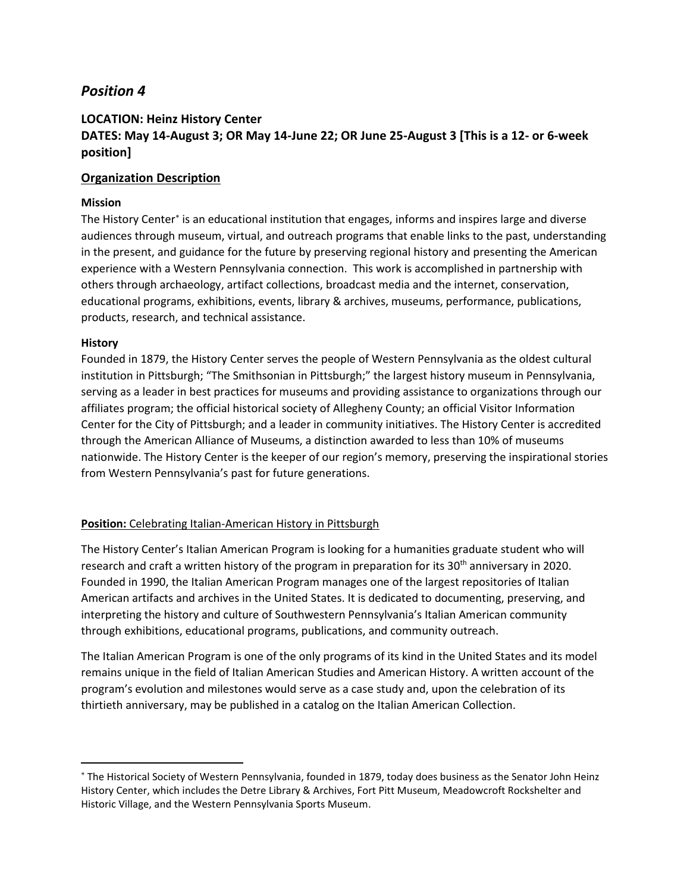## **LOCATION: Heinz History Center DATES: May 14-August 3; OR May 14-June 22; OR June 25-August 3 [This is a 12- or 6-week position]**

### **Organization Description**

### **Mission**

The History Center<sup>\*</sup> is an educational institution that engages, informs and inspires large and diverse audiences through museum, virtual, and outreach programs that enable links to the past, understanding in the present, and guidance for the future by preserving regional history and presenting the American experience with a Western Pennsylvania connection. This work is accomplished in partnership with others through archaeology, artifact collections, broadcast media and the internet, conservation, educational programs, exhibitions, events, library & archives, museums, performance, publications, products, research, and technical assistance.

#### **History**

 $\overline{a}$ 

Founded in 1879, the History Center serves the people of Western Pennsylvania as the oldest cultural institution in Pittsburgh; "The Smithsonian in Pittsburgh;" the largest history museum in Pennsylvania, serving as a leader in best practices for museums and providing assistance to organizations through our affiliates program; the official historical society of Allegheny County; an official Visitor Information Center for the City of Pittsburgh; and a leader in community initiatives. The History Center is accredited through the American Alliance of Museums, a distinction awarded to less than 10% of museums nationwide. The History Center is the keeper of our region's memory, preserving the inspirational stories from Western Pennsylvania's past for future generations.

### **Position:** Celebrating Italian-American History in Pittsburgh

The History Center's Italian American Program is looking for a humanities graduate student who will research and craft a written history of the program in preparation for its 30<sup>th</sup> anniversary in 2020. Founded in 1990, the Italian American Program manages one of the largest repositories of Italian American artifacts and archives in the United States. It is dedicated to documenting, preserving, and interpreting the history and culture of Southwestern Pennsylvania's Italian American community through exhibitions, educational programs, publications, and community outreach.

The Italian American Program is one of the only programs of its kind in the United States and its model remains unique in the field of Italian American Studies and American History. A written account of the program's evolution and milestones would serve as a case study and, upon the celebration of its thirtieth anniversary, may be published in a catalog on the Italian American Collection.

<sup>\*</sup> The Historical Society of Western Pennsylvania, founded in 1879, today does business as the Senator John Heinz History Center, which includes the Detre Library & Archives, Fort Pitt Museum, Meadowcroft Rockshelter and Historic Village, and the Western Pennsylvania Sports Museum.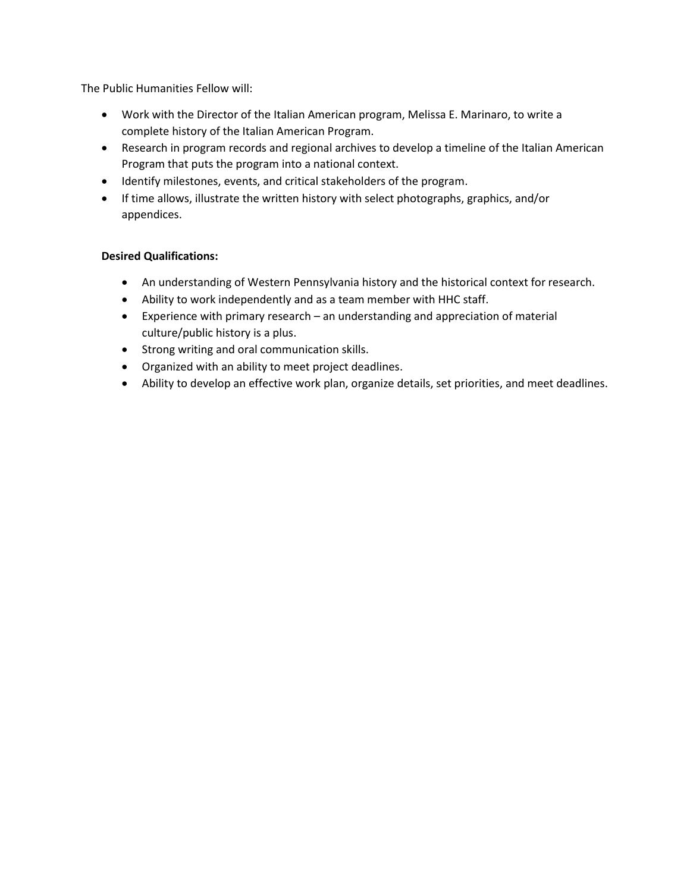The Public Humanities Fellow will:

- Work with the Director of the Italian American program, Melissa E. Marinaro, to write a complete history of the Italian American Program.
- Research in program records and regional archives to develop a timeline of the Italian American Program that puts the program into a national context.
- Identify milestones, events, and critical stakeholders of the program.
- If time allows, illustrate the written history with select photographs, graphics, and/or appendices.

- An understanding of Western Pennsylvania history and the historical context for research.
- Ability to work independently and as a team member with HHC staff.
- Experience with primary research an understanding and appreciation of material culture/public history is a plus.
- Strong writing and oral communication skills.
- Organized with an ability to meet project deadlines.
- Ability to develop an effective work plan, organize details, set priorities, and meet deadlines.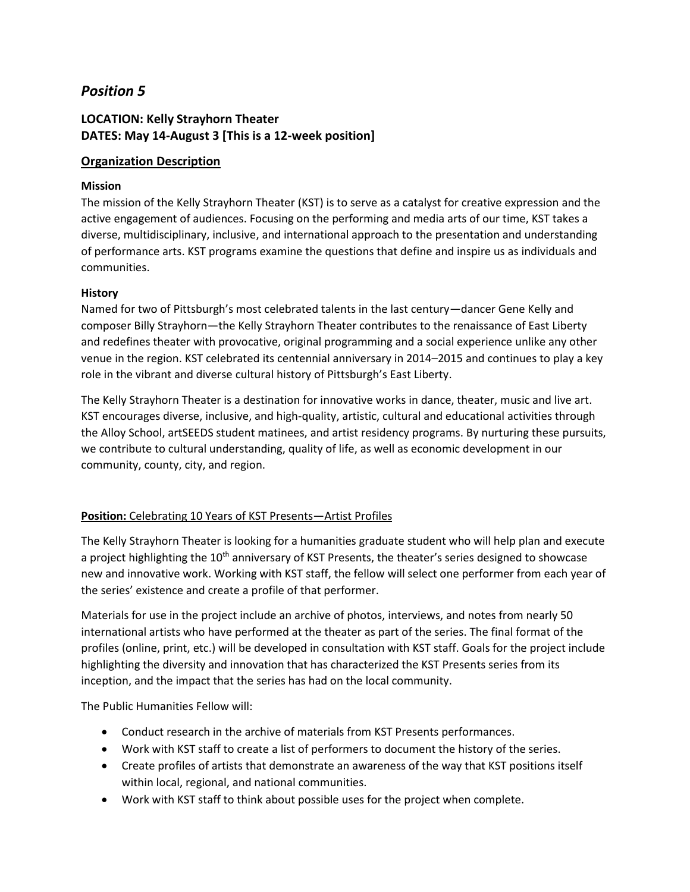# **LOCATION: Kelly Strayhorn Theater DATES: May 14-August 3 [This is a 12-week position]**

### **Organization Description**

### **Mission**

The mission of the Kelly Strayhorn Theater (KST) is to serve as a catalyst for creative expression and the active engagement of audiences. Focusing on the performing and media arts of our time, KST takes a diverse, multidisciplinary, inclusive, and international approach to the presentation and understanding of performance arts. KST programs examine the questions that define and inspire us as individuals and communities.

### **History**

Named for two of Pittsburgh's most celebrated talents in the last century—dancer Gene Kelly and composer Billy Strayhorn—the Kelly Strayhorn Theater contributes to the renaissance of East Liberty and redefines theater with provocative, original programming and a social experience unlike any other venue in the region. KST celebrated its centennial anniversary in 2014–2015 and continues to play a key role in the vibrant and diverse cultural history of Pittsburgh's East Liberty.

The Kelly Strayhorn Theater is a destination for innovative works in dance, theater, music and live art. KST encourages diverse, inclusive, and high-quality, artistic, cultural and educational activities through the Alloy School, artSEEDS student matinees, and artist residency programs. By nurturing these pursuits, we contribute to cultural understanding, quality of life, as well as economic development in our community, county, city, and region.

## **Position:** Celebrating 10 Years of KST Presents—Artist Profiles

The Kelly Strayhorn Theater is looking for a humanities graduate student who will help plan and execute a project highlighting the 10<sup>th</sup> anniversary of KST Presents, the theater's series designed to showcase new and innovative work. Working with KST staff, the fellow will select one performer from each year of the series' existence and create a profile of that performer.

Materials for use in the project include an archive of photos, interviews, and notes from nearly 50 international artists who have performed at the theater as part of the series. The final format of the profiles (online, print, etc.) will be developed in consultation with KST staff. Goals for the project include highlighting the diversity and innovation that has characterized the KST Presents series from its inception, and the impact that the series has had on the local community.

The Public Humanities Fellow will:

- Conduct research in the archive of materials from KST Presents performances.
- Work with KST staff to create a list of performers to document the history of the series.
- Create profiles of artists that demonstrate an awareness of the way that KST positions itself within local, regional, and national communities.
- Work with KST staff to think about possible uses for the project when complete.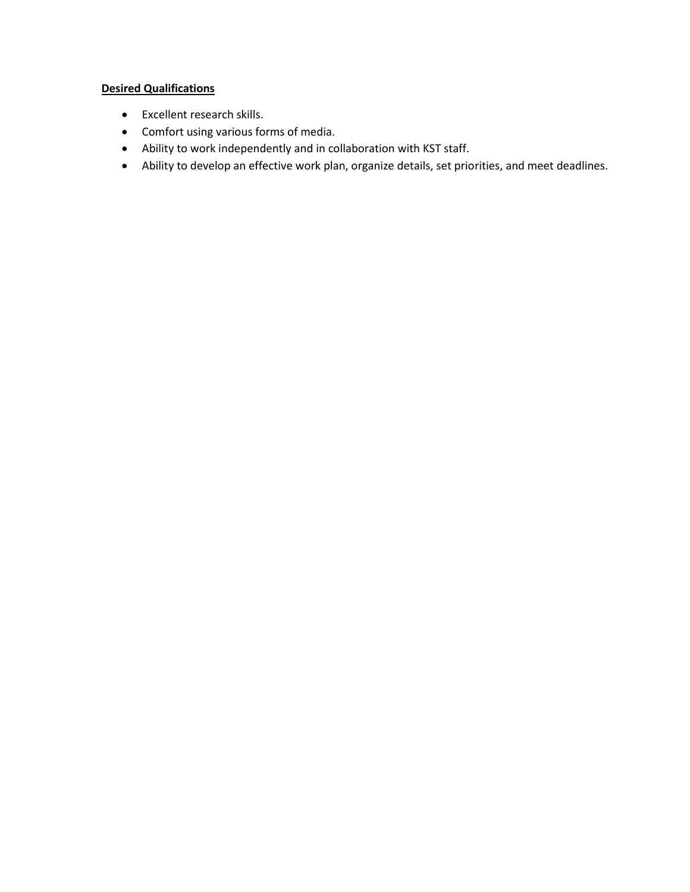- Excellent research skills.
- Comfort using various forms of media.
- Ability to work independently and in collaboration with KST staff.
- Ability to develop an effective work plan, organize details, set priorities, and meet deadlines.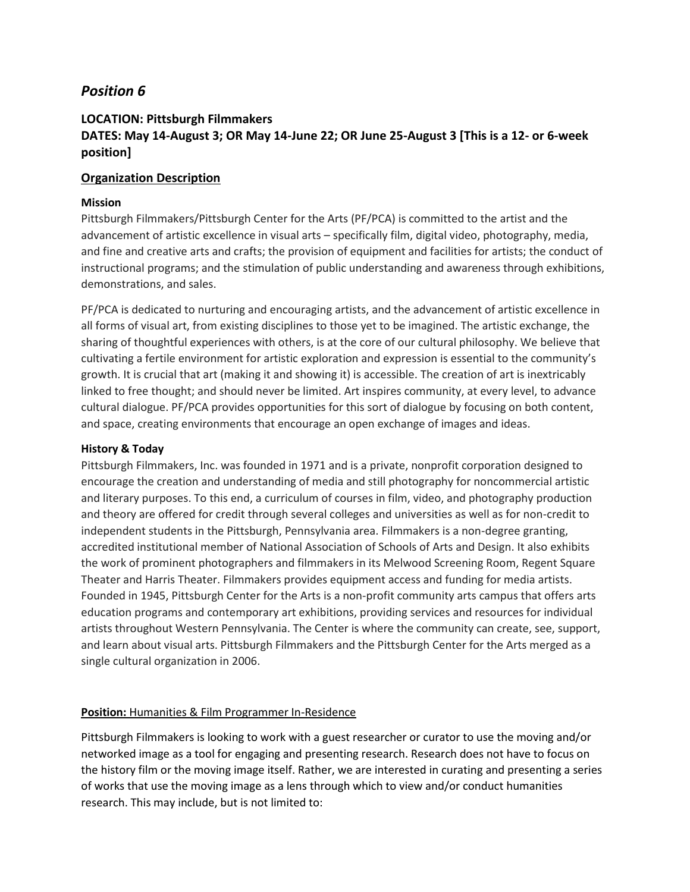### **LOCATION: Pittsburgh Filmmakers DATES: May 14-August 3; OR May 14-June 22; OR June 25-August 3 [This is a 12- or 6-week position]**

### **Organization Description**

### **Mission**

Pittsburgh Filmmakers/Pittsburgh Center for the Arts (PF/PCA) is committed to the artist and the advancement of artistic excellence in visual arts – specifically film, digital video, photography, media, and fine and creative arts and crafts; the provision of equipment and facilities for artists; the conduct of instructional programs; and the stimulation of public understanding and awareness through exhibitions, demonstrations, and sales.

PF/PCA is dedicated to nurturing and encouraging artists, and the advancement of artistic excellence in all forms of visual art, from existing disciplines to those yet to be imagined. The artistic exchange, the sharing of thoughtful experiences with others, is at the core of our cultural philosophy. We believe that cultivating a fertile environment for artistic exploration and expression is essential to the community's growth. It is crucial that art (making it and showing it) is accessible. The creation of art is inextricably linked to free thought; and should never be limited. Art inspires community, at every level, to advance cultural dialogue. PF/PCA provides opportunities for this sort of dialogue by focusing on both content, and space, creating environments that encourage an open exchange of images and ideas.

#### **History & Today**

Pittsburgh Filmmakers, Inc. was founded in 1971 and is a private, nonprofit corporation designed to encourage the creation and understanding of media and still photography for noncommercial artistic and literary purposes. To this end, a curriculum of courses in film, video, and photography production and theory are offered for credit through several colleges and universities as well as for non-credit to independent students in the Pittsburgh, Pennsylvania area. Filmmakers is a non-degree granting, accredited institutional member of National Association of Schools of Arts and Design. It also exhibits the work of prominent photographers and filmmakers in its Melwood Screening Room, Regent Square Theater and Harris Theater. Filmmakers provides equipment access and funding for media artists. Founded in 1945, Pittsburgh Center for the Arts is a non-profit community arts campus that offers arts education programs and contemporary art exhibitions, providing services and resources for individual artists throughout Western Pennsylvania. The Center is where the community can create, see, support, and learn about visual arts. Pittsburgh Filmmakers and the Pittsburgh Center for the Arts merged as a single cultural organization in 2006.

#### **Position: Humanities & Film Programmer In-Residence**

Pittsburgh Filmmakers is looking to work with a guest researcher or curator to use the moving and/or networked image as a tool for engaging and presenting research. Research does not have to focus on the history film or the moving image itself. Rather, we are interested in curating and presenting a series of works that use the moving image as a lens through which to view and/or conduct humanities research. This may include, but is not limited to: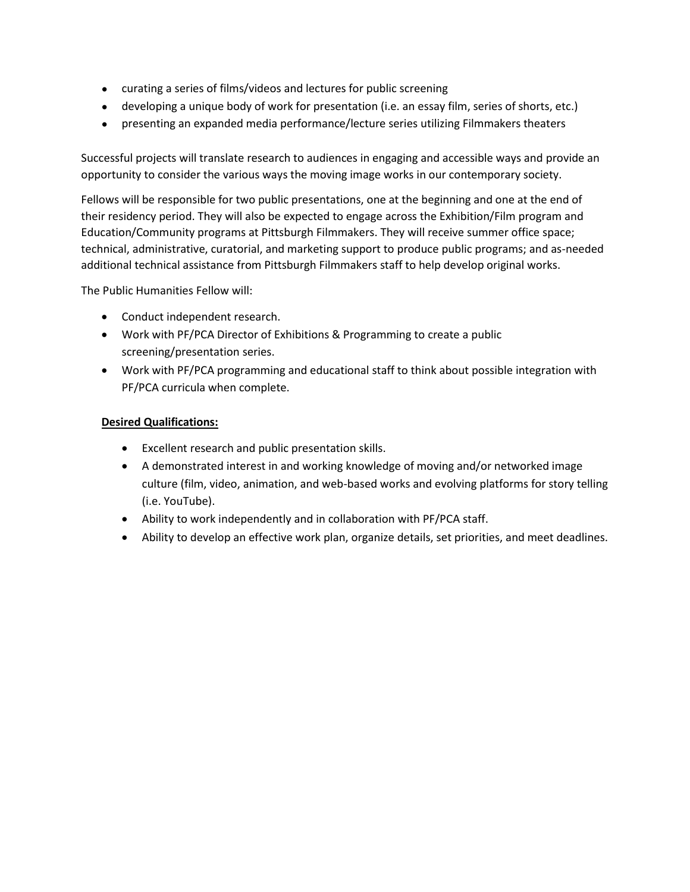- curating a series of films/videos and lectures for public screening
- developing a unique body of work for presentation (i.e. an essay film, series of shorts, etc.)
- presenting an expanded media performance/lecture series utilizing Filmmakers theaters

Successful projects will translate research to audiences in engaging and accessible ways and provide an opportunity to consider the various ways the moving image works in our contemporary society.

Fellows will be responsible for two public presentations, one at the beginning and one at the end of their residency period. They will also be expected to engage across the Exhibition/Film program and Education/Community programs at Pittsburgh Filmmakers. They will receive summer office space; technical, administrative, curatorial, and marketing support to produce public programs; and as-needed additional technical assistance from Pittsburgh Filmmakers staff to help develop original works.

The Public Humanities Fellow will:

- Conduct independent research.
- Work with PF/PCA Director of Exhibitions & Programming to create a public screening/presentation series.
- Work with PF/PCA programming and educational staff to think about possible integration with PF/PCA curricula when complete.

- Excellent research and public presentation skills.
- A demonstrated interest in and working knowledge of moving and/or networked image culture (film, video, animation, and web-based works and evolving platforms for story telling (i.e. YouTube).
- Ability to work independently and in collaboration with PF/PCA staff.
- Ability to develop an effective work plan, organize details, set priorities, and meet deadlines.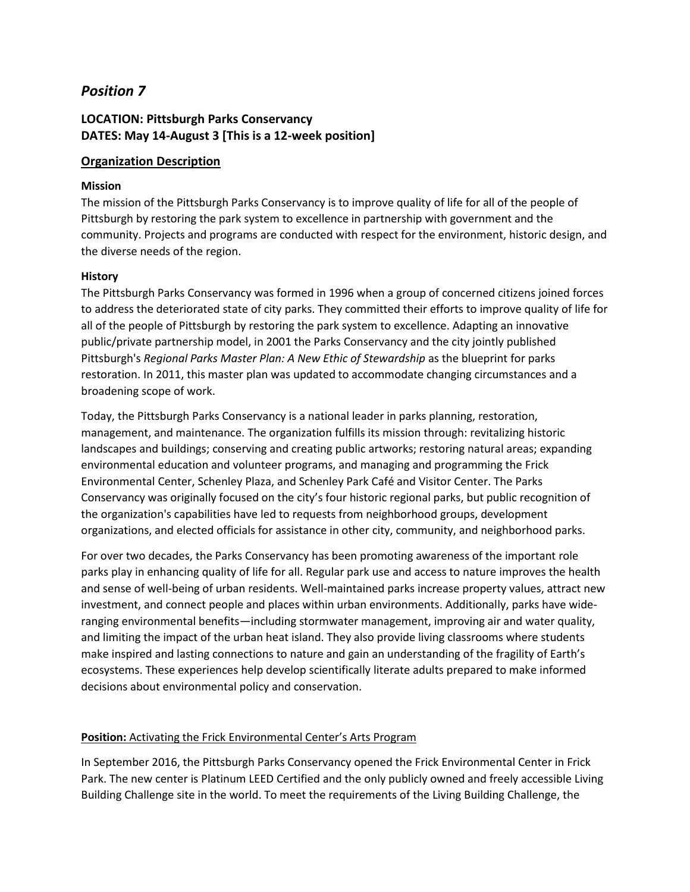# **LOCATION: Pittsburgh Parks Conservancy DATES: May 14-August 3 [This is a 12-week position]**

### **Organization Description**

### **Mission**

The mission of the Pittsburgh Parks Conservancy is to improve quality of life for all of the people of Pittsburgh by restoring the park system to excellence in partnership with government and the community. Projects and programs are conducted with respect for the environment, historic design, and the diverse needs of the region.

### **History**

The Pittsburgh Parks Conservancy was formed in 1996 when a group of concerned citizens joined forces to address the deteriorated state of city parks. They committed their efforts to improve quality of life for all of the people of Pittsburgh by restoring the park system to excellence. Adapting an innovative public/private partnership model, in 2001 the Parks Conservancy and the city jointly published Pittsburgh's *Regional Parks Master Plan: A New Ethic of Stewardship* as the blueprint for parks restoration. In 2011, this master plan was updated to accommodate changing circumstances and a broadening scope of work.

Today, the Pittsburgh Parks Conservancy is a national leader in parks planning, restoration, management, and maintenance. The organization fulfills its mission through: revitalizing historic landscapes and buildings; conserving and creating public artworks; restoring natural areas; expanding environmental education and volunteer programs, and managing and programming the Frick Environmental Center, Schenley Plaza, and Schenley Park Café and Visitor Center. The Parks Conservancy was originally focused on the city's four historic regional parks, but public recognition of the organization's capabilities have led to requests from neighborhood groups, development organizations, and elected officials for assistance in other city, community, and neighborhood parks.

For over two decades, the Parks Conservancy has been promoting awareness of the important role parks play in enhancing quality of life for all. Regular park use and access to nature improves the health and sense of well-being of urban residents. Well-maintained parks increase property values, attract new investment, and connect people and places within urban environments. Additionally, parks have wideranging environmental benefits—including stormwater management, improving air and water quality, and limiting the impact of the urban heat island. They also provide living classrooms where students make inspired and lasting connections to nature and gain an understanding of the fragility of Earth's ecosystems. These experiences help develop scientifically literate adults prepared to make informed decisions about environmental policy and conservation.

#### **Position:** Activating the Frick Environmental Center's Arts Program

In September 2016, the Pittsburgh Parks Conservancy opened the Frick Environmental Center in Frick Park. The new center is Platinum LEED Certified and the only publicly owned and freely accessible Living Building Challenge site in the world. To meet the requirements of the Living Building Challenge, the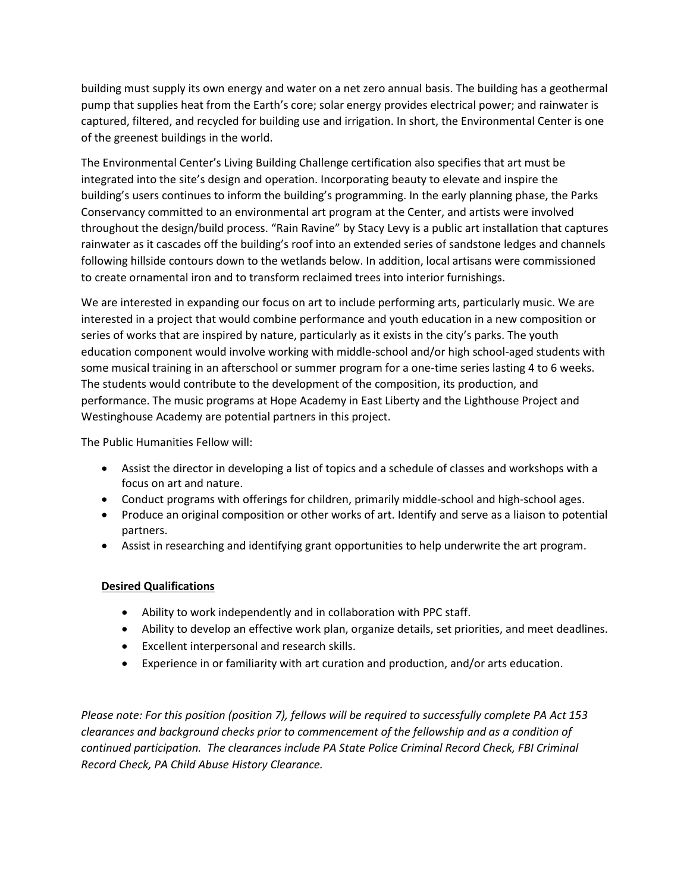building must supply its own energy and water on a net zero annual basis. The building has a geothermal pump that supplies heat from the Earth's core; solar energy provides electrical power; and rainwater is captured, filtered, and recycled for building use and irrigation. In short, the Environmental Center is one of the greenest buildings in the world.

The Environmental Center's Living Building Challenge certification also specifies that art must be integrated into the site's design and operation. Incorporating beauty to elevate and inspire the building's users continues to inform the building's programming. In the early planning phase, the Parks Conservancy committed to an environmental art program at the Center, and artists were involved throughout the design/build process. "Rain Ravine" by Stacy Levy is a public art installation that captures rainwater as it cascades off the building's roof into an extended series of sandstone ledges and channels following hillside contours down to the wetlands below. In addition, local artisans were commissioned to create ornamental iron and to transform reclaimed trees into interior furnishings.

We are interested in expanding our focus on art to include performing arts, particularly music. We are interested in a project that would combine performance and youth education in a new composition or series of works that are inspired by nature, particularly as it exists in the city's parks. The youth education component would involve working with middle-school and/or high school-aged students with some musical training in an afterschool or summer program for a one-time series lasting 4 to 6 weeks. The students would contribute to the development of the composition, its production, and performance. The music programs at Hope Academy in East Liberty and the Lighthouse Project and Westinghouse Academy are potential partners in this project.

The Public Humanities Fellow will:

- Assist the director in developing a list of topics and a schedule of classes and workshops with a focus on art and nature.
- Conduct programs with offerings for children, primarily middle-school and high-school ages.
- Produce an original composition or other works of art. Identify and serve as a liaison to potential partners.
- Assist in researching and identifying grant opportunities to help underwrite the art program.

### **Desired Qualifications**

- Ability to work independently and in collaboration with PPC staff.
- Ability to develop an effective work plan, organize details, set priorities, and meet deadlines.
- Excellent interpersonal and research skills.
- Experience in or familiarity with art curation and production, and/or arts education.

*Please note: For this position (position 7), fellows will be required to successfully complete PA Act 153 clearances and background checks prior to commencement of the fellowship and as a condition of continued participation. The clearances include PA State Police Criminal Record Check, FBI Criminal Record Check, PA Child Abuse History Clearance.*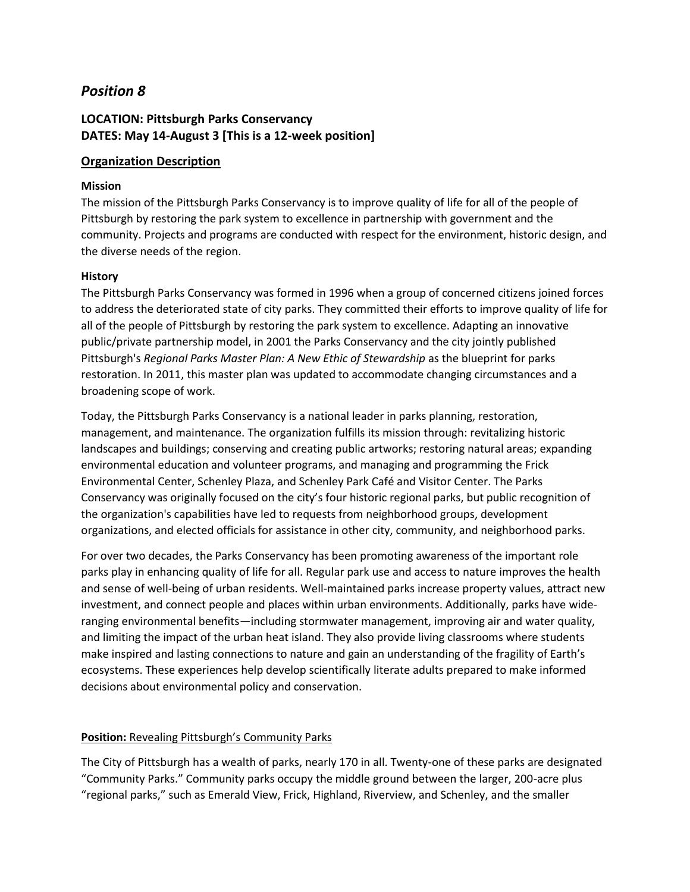## **LOCATION: Pittsburgh Parks Conservancy DATES: May 14-August 3 [This is a 12-week position]**

### **Organization Description**

### **Mission**

The mission of the Pittsburgh Parks Conservancy is to improve quality of life for all of the people of Pittsburgh by restoring the park system to excellence in partnership with government and the community. Projects and programs are conducted with respect for the environment, historic design, and the diverse needs of the region.

### **History**

The Pittsburgh Parks Conservancy was formed in 1996 when a group of concerned citizens joined forces to address the deteriorated state of city parks. They committed their efforts to improve quality of life for all of the people of Pittsburgh by restoring the park system to excellence. Adapting an innovative public/private partnership model, in 2001 the Parks Conservancy and the city jointly published Pittsburgh's *Regional Parks Master Plan: A New Ethic of Stewardship* as the blueprint for parks restoration. In 2011, this master plan was updated to accommodate changing circumstances and a broadening scope of work.

Today, the Pittsburgh Parks Conservancy is a national leader in parks planning, restoration, management, and maintenance. The organization fulfills its mission through: revitalizing historic landscapes and buildings; conserving and creating public artworks; restoring natural areas; expanding environmental education and volunteer programs, and managing and programming the Frick Environmental Center, Schenley Plaza, and Schenley Park Café and Visitor Center. The Parks Conservancy was originally focused on the city's four historic regional parks, but public recognition of the organization's capabilities have led to requests from neighborhood groups, development organizations, and elected officials for assistance in other city, community, and neighborhood parks.

For over two decades, the Parks Conservancy has been promoting awareness of the important role parks play in enhancing quality of life for all. Regular park use and access to nature improves the health and sense of well-being of urban residents. Well-maintained parks increase property values, attract new investment, and connect people and places within urban environments. Additionally, parks have wideranging environmental benefits—including stormwater management, improving air and water quality, and limiting the impact of the urban heat island. They also provide living classrooms where students make inspired and lasting connections to nature and gain an understanding of the fragility of Earth's ecosystems. These experiences help develop scientifically literate adults prepared to make informed decisions about environmental policy and conservation.

#### **Position:** Revealing Pittsburgh's Community Parks

The City of Pittsburgh has a wealth of parks, nearly 170 in all. Twenty-one of these parks are designated "Community Parks." Community parks occupy the middle ground between the larger, 200-acre plus "regional parks," such as Emerald View, Frick, Highland, Riverview, and Schenley, and the smaller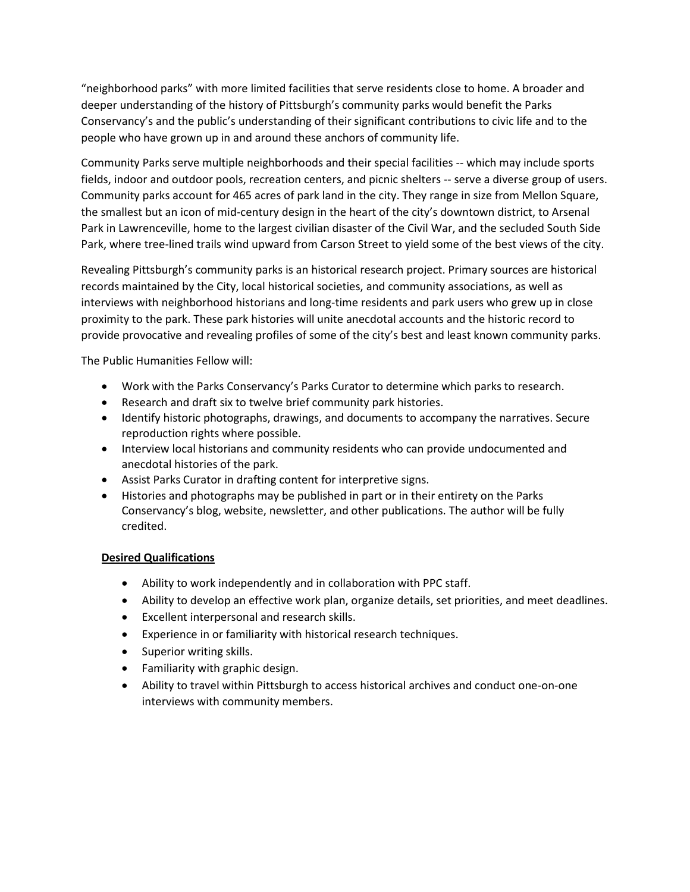"neighborhood parks" with more limited facilities that serve residents close to home. A broader and deeper understanding of the history of Pittsburgh's community parks would benefit the Parks Conservancy's and the public's understanding of their significant contributions to civic life and to the people who have grown up in and around these anchors of community life.

Community Parks serve multiple neighborhoods and their special facilities -- which may include sports fields, indoor and outdoor pools, recreation centers, and picnic shelters -- serve a diverse group of users. Community parks account for 465 acres of park land in the city. They range in size from Mellon Square, the smallest but an icon of mid-century design in the heart of the city's downtown district, to Arsenal Park in Lawrenceville, home to the largest civilian disaster of the Civil War, and the secluded South Side Park, where tree-lined trails wind upward from Carson Street to yield some of the best views of the city.

Revealing Pittsburgh's community parks is an historical research project. Primary sources are historical records maintained by the City, local historical societies, and community associations, as well as interviews with neighborhood historians and long-time residents and park users who grew up in close proximity to the park. These park histories will unite anecdotal accounts and the historic record to provide provocative and revealing profiles of some of the city's best and least known community parks.

The Public Humanities Fellow will:

- Work with the Parks Conservancy's Parks Curator to determine which parks to research.
- Research and draft six to twelve brief community park histories.
- Identify historic photographs, drawings, and documents to accompany the narratives. Secure reproduction rights where possible.
- Interview local historians and community residents who can provide undocumented and anecdotal histories of the park.
- Assist Parks Curator in drafting content for interpretive signs.
- Histories and photographs may be published in part or in their entirety on the Parks Conservancy's blog, website, newsletter, and other publications. The author will be fully credited.

- Ability to work independently and in collaboration with PPC staff.
- Ability to develop an effective work plan, organize details, set priorities, and meet deadlines.
- Excellent interpersonal and research skills.
- Experience in or familiarity with historical research techniques.
- Superior writing skills.
- Familiarity with graphic design.
- Ability to travel within Pittsburgh to access historical archives and conduct one-on-one interviews with community members.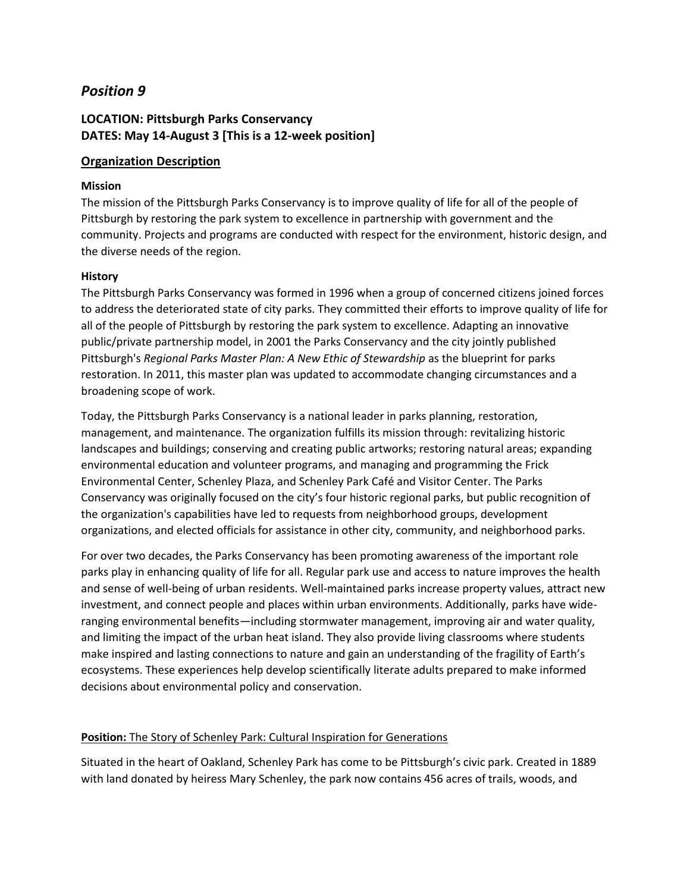# **LOCATION: Pittsburgh Parks Conservancy DATES: May 14-August 3 [This is a 12-week position]**

### **Organization Description**

### **Mission**

The mission of the Pittsburgh Parks Conservancy is to improve quality of life for all of the people of Pittsburgh by restoring the park system to excellence in partnership with government and the community. Projects and programs are conducted with respect for the environment, historic design, and the diverse needs of the region.

### **History**

The Pittsburgh Parks Conservancy was formed in 1996 when a group of concerned citizens joined forces to address the deteriorated state of city parks. They committed their efforts to improve quality of life for all of the people of Pittsburgh by restoring the park system to excellence. Adapting an innovative public/private partnership model, in 2001 the Parks Conservancy and the city jointly published Pittsburgh's *Regional Parks Master Plan: A New Ethic of Stewardship* as the blueprint for parks restoration. In 2011, this master plan was updated to accommodate changing circumstances and a broadening scope of work.

Today, the Pittsburgh Parks Conservancy is a national leader in parks planning, restoration, management, and maintenance. The organization fulfills its mission through: revitalizing historic landscapes and buildings; conserving and creating public artworks; restoring natural areas; expanding environmental education and volunteer programs, and managing and programming the Frick Environmental Center, Schenley Plaza, and Schenley Park Café and Visitor Center. The Parks Conservancy was originally focused on the city's four historic regional parks, but public recognition of the organization's capabilities have led to requests from neighborhood groups, development organizations, and elected officials for assistance in other city, community, and neighborhood parks.

For over two decades, the Parks Conservancy has been promoting awareness of the important role parks play in enhancing quality of life for all. Regular park use and access to nature improves the health and sense of well-being of urban residents. Well-maintained parks increase property values, attract new investment, and connect people and places within urban environments. Additionally, parks have wideranging environmental benefits—including stormwater management, improving air and water quality, and limiting the impact of the urban heat island. They also provide living classrooms where students make inspired and lasting connections to nature and gain an understanding of the fragility of Earth's ecosystems. These experiences help develop scientifically literate adults prepared to make informed decisions about environmental policy and conservation.

#### **Position:** The Story of Schenley Park: Cultural Inspiration for Generations

Situated in the heart of Oakland, Schenley Park has come to be Pittsburgh's civic park. Created in 1889 with land donated by heiress Mary Schenley, the park now contains 456 acres of trails, woods, and